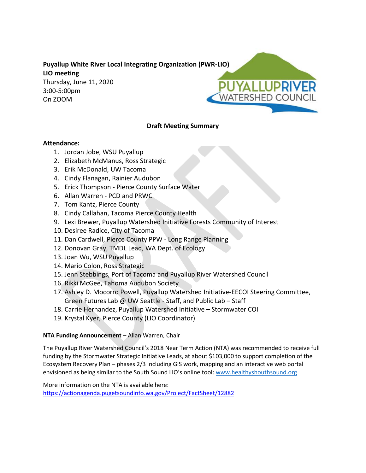## **Puyallup White River Local Integrating Organization (PWR-LIO) LIO meeting**

Thursday, June 11, 2020 3:00-5:00pm On ZOOM

# PUYALLUPRIVER **ATERSHED COUNCIL**

## **Draft Meeting Summary**

## **Attendance:**

- 1. Jordan Jobe, WSU Puyallup
- 2. Elizabeth McManus, Ross Strategic
- 3. Erik McDonald, UW Tacoma
- 4. Cindy Flanagan, Rainier Audubon
- 5. Erick Thompson Pierce County Surface Water
- 6. Allan Warren PCD and PRWC
- 7. Tom Kantz, Pierce County
- 8. Cindy Callahan, Tacoma Pierce County Health
- 9. Lexi Brewer, Puyallup Watershed Initiative Forests Community of Interest
- 10. Desiree Radice, City of Tacoma
- 11. Dan Cardwell, Pierce County PPW Long Range Planning
- 12. Donovan Gray, TMDL Lead, WA Dept. of Ecology
- 13. Joan Wu, WSU Puyallup
- 14. Mario Colon, Ross Strategic
- 15. Jenn Stebbings, Port of Tacoma and Puyallup River Watershed Council
- 16. Rikki McGee, Tahoma Audubon Society
- 17. Ashley D. Mocorro Powell, Puyallup Watershed Initiative-EECOI Steering Committee, Green Futures Lab @ UW Seattle - Staff, and Public Lab – Staff
- 18. Carrie Hernandez, Puyallup Watershed Initiative Stormwater COI
- 19. Krystal Kyer, Pierce County (LIO Coordinator)

## **NTA Funding Announcement** – Allan Warren, Chair

The Puyallup River Watershed Council's 2018 Near Term Action (NTA) was recommended to receive full funding by the Stormwater Strategic Initiative Leads, at about \$103,000 to support completion of the Ecosystem Recovery Plan – phases 2/3 including GIS work, mapping and an interactive web portal envisioned as being similar to the South Sound LIO's online tool: [www.healthyshouthsound.org](http://www.healthyshouthsound.org/)

More information on the NTA is available here: <https://actionagenda.pugetsoundinfo.wa.gov/Project/FactSheet/12882>